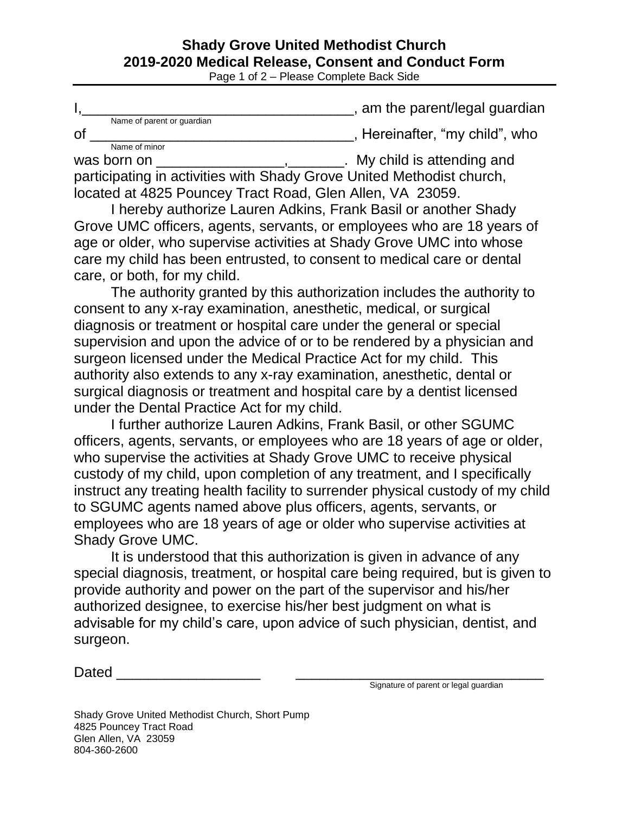## **Shady Grove United Methodist Church 2019-2020 Medical Release, Consent and Conduct Form**

Page 1 of 2 – Please Complete Back Side

|    |                            | , am the parent/legal guardian |
|----|----------------------------|--------------------------------|
| Οf | Name of parent or quardian | , Hereinafter, "my child", who |
|    | Name of minor              |                                |

was born on \_\_\_\_\_\_\_\_\_\_\_\_\_\_\_\_\_\_\_\_\_\_\_\_,\_\_\_\_\_\_\_\_. My child is attending and participating in activities with Shady Grove United Methodist church, located at 4825 Pouncey Tract Road, Glen Allen, VA 23059.

I hereby authorize Lauren Adkins, Frank Basil or another Shady Grove UMC officers, agents, servants, or employees who are 18 years of age or older, who supervise activities at Shady Grove UMC into whose care my child has been entrusted, to consent to medical care or dental care, or both, for my child.

The authority granted by this authorization includes the authority to consent to any x-ray examination, anesthetic, medical, or surgical diagnosis or treatment or hospital care under the general or special supervision and upon the advice of or to be rendered by a physician and surgeon licensed under the Medical Practice Act for my child. This authority also extends to any x-ray examination, anesthetic, dental or surgical diagnosis or treatment and hospital care by a dentist licensed under the Dental Practice Act for my child.

I further authorize Lauren Adkins, Frank Basil, or other SGUMC officers, agents, servants, or employees who are 18 years of age or older, who supervise the activities at Shady Grove UMC to receive physical custody of my child, upon completion of any treatment, and I specifically instruct any treating health facility to surrender physical custody of my child to SGUMC agents named above plus officers, agents, servants, or employees who are 18 years of age or older who supervise activities at Shady Grove UMC.

It is understood that this authorization is given in advance of any special diagnosis, treatment, or hospital care being required, but is given to provide authority and power on the part of the supervisor and his/her authorized designee, to exercise his/her best judgment on what is advisable for my child's care, upon advice of such physician, dentist, and surgeon.

Dated  $\Box$ 

Signature of parent or legal guardian

| Shady Grove United Methodist Church, Short Pump |
|-------------------------------------------------|
| 4825 Pouncey Tract Road                         |
| Glen Allen, VA 23059                            |
| 804-360-2600                                    |